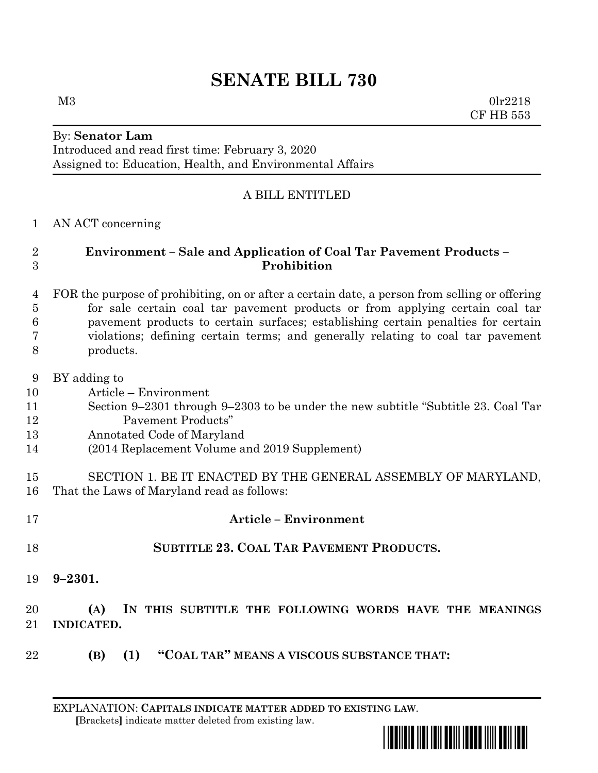# **SENATE BILL 730**

 $M3$  0lr2218 CF HB 553

# By: **Senator Lam** Introduced and read first time: February 3, 2020 Assigned to: Education, Health, and Environmental Affairs

# A BILL ENTITLED

#### AN ACT concerning

# **Environment – Sale and Application of Coal Tar Pavement Products – Prohibition**

#### FOR the purpose of prohibiting, on or after a certain date, a person from selling or offering for sale certain coal tar pavement products or from applying certain coal tar pavement products to certain surfaces; establishing certain penalties for certain violations; defining certain terms; and generally relating to coal tar pavement products.

- BY adding to
- Article Environment
- Section 9–2301 through 9–2303 to be under the new subtitle "Subtitle 23. Coal Tar Pavement Products"
- Annotated Code of Maryland
- (2014 Replacement Volume and 2019 Supplement)

### SECTION 1. BE IT ENACTED BY THE GENERAL ASSEMBLY OF MARYLAND, That the Laws of Maryland read as follows:

- **Article – Environment SUBTITLE 23. COAL TAR PAVEMENT PRODUCTS. 9–2301. (A) IN THIS SUBTITLE THE FOLLOWING WORDS HAVE THE MEANINGS INDICATED.**
- **(B) (1) "COAL TAR" MEANS A VISCOUS SUBSTANCE THAT:**

EXPLANATION: **CAPITALS INDICATE MATTER ADDED TO EXISTING LAW**.  **[**Brackets**]** indicate matter deleted from existing law.